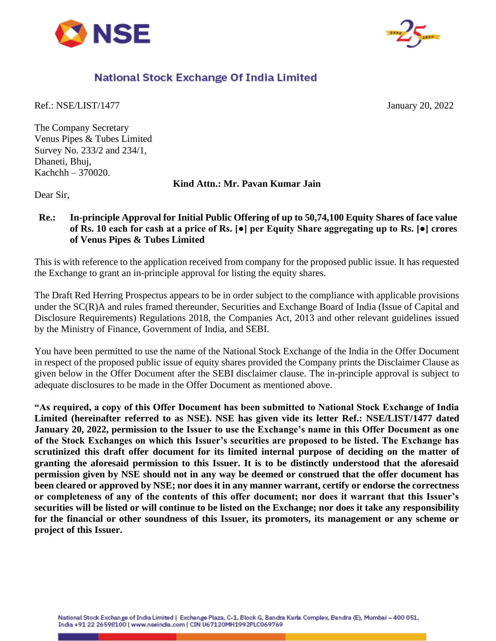



# National Stock Exchange Of India Limited

Ref.: NSE/LIST/1477 January 20, 2022

The Company Secretary Venus Pipes & Tubes Limited Survey No. 233/2 and 234/1, Dhaneti, Bhuj, Kachchh – 370020.

**Kind Attn.: Mr. Pavan Kumar Jain**

Dear Sir,

## **Re.: In-principle Approval for Initial Public Offering of up to 50,74,100 Equity Shares of face value of Rs. 10 each for cash at a price of Rs. [●] per Equity Share aggregating up to Rs. [●] crores of Venus Pipes & Tubes Limited**

This is with reference to the application received from company for the proposed public issue. It has requested the Exchange to grant an in-principle approval for listing the equity shares.

The Draft Red Herring Prospectus appears to be in order subject to the compliance with applicable provisions under the SC(R)A and rules framed thereunder, Securities and Exchange Board of India (Issue of Capital and Disclosure Requirements) Regulations 2018, the Companies Act, 2013 and other relevant guidelines issued by the Ministry of Finance, Government of India, and SEBI.

You have been permitted to use the name of the National Stock Exchange of the India in the Offer Document in respect of the proposed public issue of equity shares provided the Company prints the Disclaimer Clause as given below in the Offer Document after the SEBI disclaimer clause. The in-principle approval is subject to adequate disclosures to be made in the Offer Document as mentioned above.

**"As required, a copy of this Offer Document has been submitted to National Stock Exchange of India Limited (hereinafter referred to as NSE). NSE has given vide its letter Ref.: NSE/LIST/1477 dated January 20, 2022, permission to the Issuer to use the Exchange's name in this Offer Document as one of the Stock Exchanges on which this Issuer's securities are proposed to be listed. The Exchange has scrutinized this draft offer document for its limited internal purpose of deciding on the matter of granting the aforesaid permission to this Issuer. It is to be distinctly understood that the aforesaid permission given by NSE should not in any way be deemed or construed that the offer document has been cleared or approved by NSE; nor does it in any manner warrant, certify or endorse the correctness or completeness of any of the contents of this offer document; nor does it warrant that this Issuer's securities will be listed or will continue to be listed on the Exchange; nor does it take any responsibility for the financial or other soundness of this Issuer, its promoters, its management or any scheme or project of this Issuer.**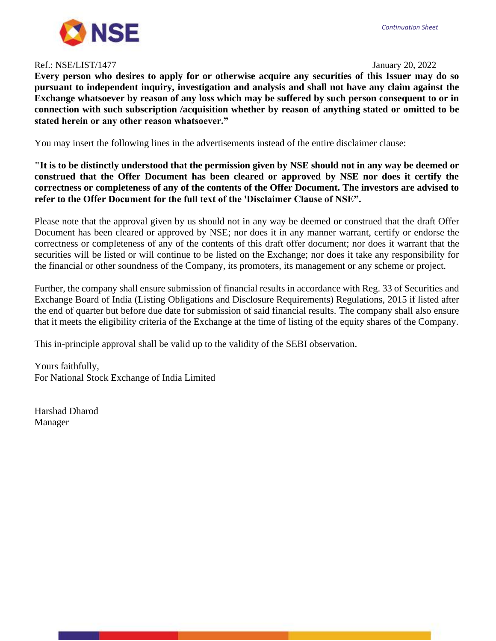

### Ref.: NSE/LIST/1477 January 20, 2022

#### *Continuation Sheet*

**Every person who desires to apply for or otherwise acquire any securities of this Issuer may do so pursuant to independent inquiry, investigation and analysis and shall not have any claim against the Exchange whatsoever by reason of any loss which may be suffered by such person consequent to or in connection with such subscription /acquisition whether by reason of anything stated or omitted to be stated herein or any other reason whatsoever."**

You may insert the following lines in the advertisements instead of the entire disclaimer clause:

**"It is to be distinctly understood that the permission given by NSE should not in any way be deemed or construed that the Offer Document has been cleared or approved by NSE nor does it certify the correctness or completeness of any of the contents of the Offer Document. The investors are advised to refer to the Offer Document for the full text of the 'Disclaimer Clause of NSE".**

Please note that the approval given by us should not in any way be deemed or construed that the draft Offer Document has been cleared or approved by NSE; nor does it in any manner warrant, certify or endorse the correctness or completeness of any of the contents of this draft offer document; nor does it warrant that the securities will be listed or will continue to be listed on the Exchange; nor does it take any responsibility for the financial or other soundness of the Company, its promoters, its management or any scheme or project.

Further, the company shall ensure submission of financial results in accordance with Reg. 33 of Securities and Exchange Board of India (Listing Obligations and Disclosure Requirements) Regulations, 2015 if listed after the end of quarter but before due date for submission of said financial results. The company shall also ensure that it meets the eligibility criteria of the Exchange at the time of listing of the equity shares of the Company.

This in-principle approval shall be valid up to the validity of the SEBI observation.

Yours faithfully, For National Stock Exchange of India Limited

Harshad Dharod Manager